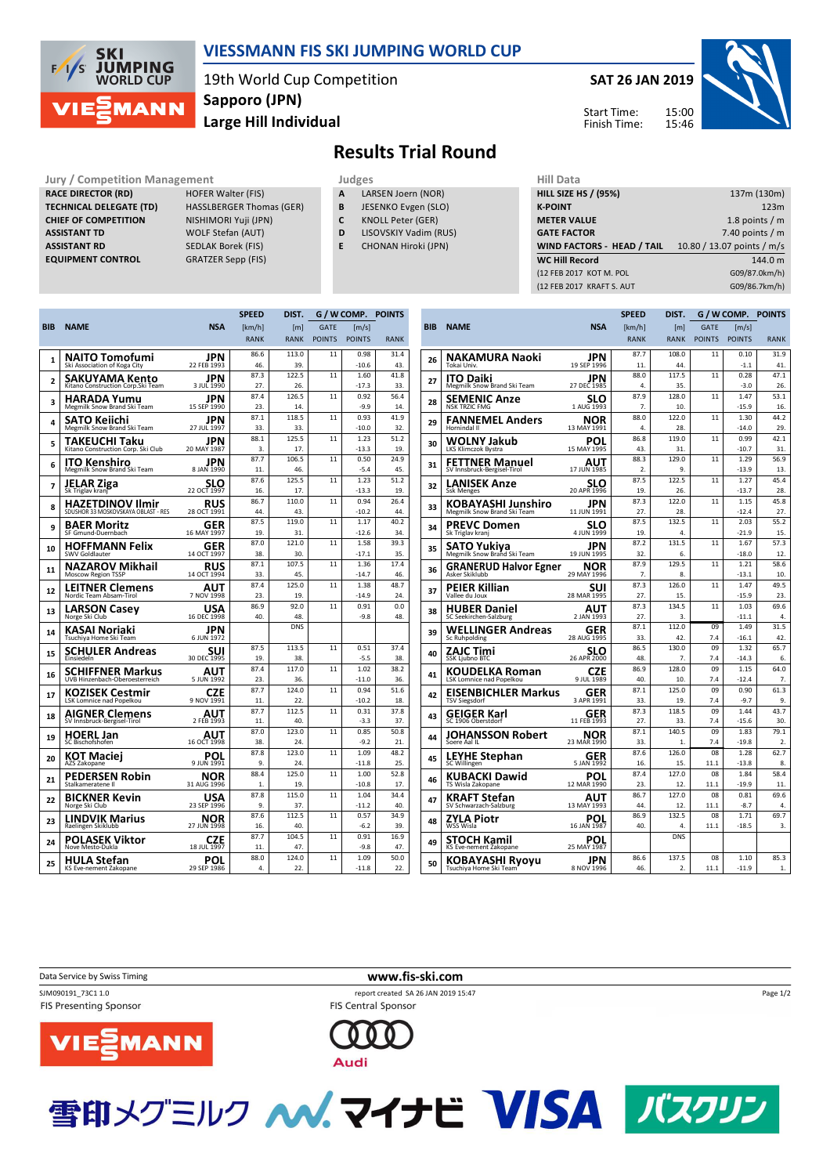

## **VIESSMANN FIS SKI JUMPING WORLD CUP**

19th World Cup Competition **Large Hill Individual Sapporo (JPN)**



**Results Trial Round**

**Jury / Competition Management development development of the Judges of American Hill Data RACE DIRECTOR (RD) HOFER Walter (FIS) TECHNICAL DELEGATE (TD)** HASSLBERGER Thomas (GER) **CHIEF OF COMPETITION** NISHIMORI Yuji (JPN) **ASSISTANT TD** WOLF Stefan (AUT) **ASSISTANT RD** SEDLAK Borek (FIS)

**EQUIPMENT CONTROL** GRATZER Sepp (FIS)

| . .<br>___ |  |
|------------|--|
|------------|--|

- **A** LARSEN Joern (NOR)
- **B** JESENKO Evgen (SLO)
- **C** KNOLL Peter (GER)
- **D** LISOVSKIY Vadim (RUS)
- **E** CHONAN Hiroki (JPN)

| niil Ddtd                         |                            |  |  |  |  |
|-----------------------------------|----------------------------|--|--|--|--|
| <b>HILL SIZE HS / (95%)</b>       | 137m (130m)                |  |  |  |  |
| <b>K-POINT</b>                    | 123m                       |  |  |  |  |
| <b>METER VALUE</b>                | 1.8 points $/m$            |  |  |  |  |
| <b>GATE FACTOR</b>                | 7.40 points $/m$           |  |  |  |  |
| <b>WIND FACTORS - HEAD / TAIL</b> | 10.80 / 13.07 points / m/s |  |  |  |  |
|                                   |                            |  |  |  |  |
| <b>WC Hill Record</b>             | 144.0 m                    |  |  |  |  |
| (12 FEB 2017 KOT M. POL           | G09/87.0km/h)              |  |  |  |  |
| (12 FEB 2017 KRAFT S. AUT         | G09/86.7km/h)              |  |  |  |  |

|            |                                                         |                    | <b>SPEED</b> | DIST.        | G / W COMP.   |                     | <b>POINTS</b> |
|------------|---------------------------------------------------------|--------------------|--------------|--------------|---------------|---------------------|---------------|
| <b>BIB</b> | <b>NAME</b>                                             | <b>NSA</b>         | [km/h]       | [m]          | <b>GATE</b>   | $\lceil m/s \rceil$ |               |
|            |                                                         |                    | <b>RANK</b>  | <b>RANK</b>  | <b>POINTS</b> | <b>POINTS</b>       | <b>RANK</b>   |
|            | NAITO Tomofumi                                          | JPN                | 86.6         | 113.0        | 11            | 0.98                | 31.4          |
| 1          | Ski Association of Koga City                            | 22 FEB 1993        | 46.          | 39.          |               | $-10.6$             | 43.           |
| 2          | SAKUYAMA Kento                                          | JPN                | 87.3         | 122.5        | 11            | 1.60                | 41.8          |
|            | Kitano Construction Corp.Ski Team                       | 3 JUL 1990         | 27.          | 26.          |               | $-17.3$             | 33.           |
| з          | HARADA Yumu<br>Megmilk Snow Brand Ski Team              | JPN<br>15 SEP 1990 | 87.4<br>23.  | 126.5<br>14. | 11            | 0.92<br>$-9.9$      | 56.4<br>14    |
|            | SATO Keiichi                                            | JPN                | 87.1         | 118.5        | 11            | 0.93                | 41.9          |
| 4          | Megmilk Snow Brand Ski Team                             | 27 JUL 1997        | 33.          | 33.          |               | $-10.0$             | 32.           |
| 5          | TAKEUCHI Taku<br>Kitano Construction Corp. Ski Club     | JPN<br>20 MAY 1987 | 88.1<br>3.   | 125.5<br>17. | 11            | 1.23<br>$-13.3$     | 51.2<br>19.   |
|            |                                                         | JPN                | 87.7         | 106.5        | 11            | 0.50                | 24.9          |
| 6          | ITO Kenshiro<br>Megmilk Snow Brand Ski Team             | 8 JAN 1990         | 11.          | 46.          |               | $-5.4$              | 45.           |
| 7          | <b>JELAR Ziga</b>                                       | SLO                | 87.6         | 125.5        | 11            | 1.23                | 51.2          |
|            | Sk Triglav kranj                                        | 22 OCT 1997        | 16.          | 17.          |               | $-13.3$             | 19            |
| 8          | HAZETDINOV Ilmir<br>SDUSHOR 33 MOSKOVSKAYA OBLAST - RES | RUS<br>28 OCT 1991 | 86.7<br>44.  | 110.0<br>43. | 11            | 0.94<br>$-10.2$     | 26.4<br>44    |
|            |                                                         |                    | 87.5         | 119.0        | 11            | 1.17                | 40.2          |
| 9          | BAER Moritz<br>SF Gmund-Duernbach                       | GER<br>16 MAY 1997 | 19           | 31           |               | $-126$              | 34            |
| 10         | HOFFMANN Felix                                          | GER                | 87.0         | 121.0        | 11            | 1.58                | 39.3          |
|            | SWV Goldlauter                                          | 14 OCT 1997        | 38.          | 30.          |               | $-17.1$             | 35.           |
| 11         | NAZAROV Mikhail                                         | <b>RUS</b>         | 87.1         | 107.5        | 11            | 1.36                | 17.4          |
|            | <b>Moscow Region TSSP</b>                               | 14 OCT 1994        | 33.          | 45.          |               | $-14.7$             | 46.           |
| 12         | LEITNER Clemens<br>Nordic Team Absam-Tirol              | AUT<br>7 NOV 1998  | 87.4<br>23.  | 125.0<br>19. | 11            | 1.38<br>$-14.9$     | 48.7<br>24    |
|            | <b>LARSON Casey</b>                                     | USA                | 86.9         | 92.0         | 11            | 0.91                | 0.0           |
| 13         | Norge Ski Club                                          | 16 DEC 1998        | 40.          | 48.          |               | $-9.8$              | 48.           |
| 14         | KASAI Noriaki<br>Tsuchiya Home Ski Team                 | JPN<br>6 JUN 1972  |              | <b>DNS</b>   |               |                     |               |
| 15         | SCHULER Andreas                                         | SUI                | 87.5         | 113.5        | 11            | 0.51                | 37.4          |
|            | Einsiedeln                                              | 30 DEC 1995        | 19.<br>87.4  | 38.<br>117.0 | 11            | $-5.5$<br>1.02      | 38.<br>38.2   |
| 16         | SCHIFFNER Markus<br>UVB Hinzenbach-Oberoesterreich      | AUT<br>5 JUN 1992  | 23.          | 36.          |               | $-11.0$             | 36.           |
|            | KOZISEK Cestmir                                         | CZF                | 87.7         | 124.0        | 11            | 0.94                | 51.6          |
| 17         | LSK Lomnice nad Popelkou                                | 9 NOV 1991         | 11.          | 22.          |               | $-10.2$             | 18.           |
| 18         | AIGNER Clemens                                          | AUT                | 87.7         | 112.5        | 11            | 0.31                | 37.8          |
|            | SV Innsbruck-Bergisel-Tirol                             | 2 FEB 1993         | 11.          | 40.          |               | $-3.3$              | 37.           |
| 19         | <b>HOERL Jan</b><br>SC Bischofshofen                    | AUT<br>16 OCT 1998 | 87.0<br>38   | 123.0<br>24  | 11            | 0.85<br>$-9.2$      | 50.8<br>21    |
|            | KOT Maciej                                              | POL                | 87.8         | 123.0        | 11            | 1.09                | 48.2          |
| 20         | AZS Zakopane                                            | 9 JUN 1991         | 9.           | 24.          |               | $-11.8$             | 25.           |
| 21         | PEDERSEN Robin                                          | NOR                | 88.4         | 125.0        | 11            | 1.00                | 52.8          |
|            | Stalkameratene II                                       | 31 AUG 1996        | 1.           | 19.          |               | $-10.8$             | 17.           |
| 22         | BICKNER Kevin<br>Norge Ski Club                         | USA<br>23 SEP 1996 | 87.8<br>9.   | 115.0<br>37. | 11            | 1.04<br>$-11.2$     | 34.4<br>40.   |
|            | LINDVIK Marius                                          | <b>NOR</b>         | 87.6         | 112.5        | 11            | 0.57                | 34.9          |
| 23         | Raelingen Skiklubb                                      | 27 JUN 1998        | 16.          | 40.          |               | $-6.2$              | 39.           |
| 24         | <b>POLASEK Viktor</b>                                   | CZE                | 87.7         | 104.5        | 11            | 0.91                | 16.9          |
|            | Nove Mesto-Dukla                                        | 18 JUL 1997        | 11.          | 47.          |               | -9.8                | 47.           |
| 25         | HULA Stefan<br>KS Eve-nement Zakopane                   | POL<br>29 SEP 1986 | 88.0<br>4.   | 124.0<br>22. | 11            | 1.09<br>$-11.8$     | 50.0<br>22.   |
|            |                                                         |                    |              |              |               |                     |               |

|            |                                                      |                           | <b>SPEED</b>           | DIST.            |               | G / W COMP.     | <b>POINTS</b>    |
|------------|------------------------------------------------------|---------------------------|------------------------|------------------|---------------|-----------------|------------------|
| <b>BIB</b> | <b>NAME</b>                                          | <b>NSA</b>                | [km/h]                 | [m]              | <b>GATE</b>   | [m/s]           |                  |
|            |                                                      |                           | <b>RANK</b>            | <b>RANK</b>      | <b>POINTS</b> | <b>POINTS</b>   | <b>RANK</b>      |
|            | NAKAMURA Naoki                                       | JPN                       | 87.7                   | 108.0            | 11            | 0.10            | 31.9             |
| 26         | Tokai Univ.                                          | 19 SEP 1996               | 11.                    | 44.              |               | $-1.1$          | 41.              |
| 27         | <b>ITO Daiki</b>                                     | JPN                       | 88.0                   | 117.5            | 11            | 0.28            | 47.1             |
|            | Megmilk Snow Brand Ski Team                          | 27 DEC 1985               | 4.                     | 35.              |               | $-3.0$          | 26.              |
| 28         | SEMENIC Anze<br><b>NSK TRZIC FMG</b>                 | SLO<br>1 AUG 1993         | 87.9<br>7.             | 128.0<br>10.     | 11            | 1.47<br>$-15.9$ | 53.1<br>16.      |
|            | <b>FANNEMEL Anders</b>                               | NOR                       | 88.0                   | 122.0            | 11            | 1.30            | 44.2             |
| 29         | Hornindal II                                         | 13 MAY 1991               | 4.                     | 28.              |               | $-14.0$         | 29.              |
| 30         | WOLNY Jakub                                          | POL                       | 86.8                   | 119.0            | 11            | 0.99            | 42.1             |
|            | LKS Klimczok Bystra                                  | 15 MAY 1995               | 43.                    | 31.              |               | $-10.7$         | 31.              |
| 31         | <b>FETTNER Manuel</b><br>SV Innsbruck-Bergisel-Tirol | AUT<br>17 JUN 1985        | 88.3<br>$\overline{2}$ | 129.0<br>9.      | 11            | 1.29<br>$-13.9$ | 56.9<br>13.      |
|            |                                                      |                           | 87.5                   | 122.5            | 11            | 1.27            | 45.4             |
| 32         | <b>LANISEK Anze</b><br><b>Ssk Menges</b>             | SLO<br>20 APR 1996        | 19.                    | 26.              |               | $-13.7$         | 28.              |
| 33         | KOBAYASHI Junshiro                                   | JPN                       | 87.3                   | 122.0            | 11            | 1.15            | 45.8             |
|            | Megmilk Snow Brand Ski Team                          | 11 JUN 1991               | 27.                    | 28.              |               | $-12.4$         | 27.              |
| 34         | PREVC Domen                                          | SLO                       | 87.5                   | 132.5            | 11            | 2.03            | 55.2             |
|            | Sk Triglav kranj                                     | 4 JUN 1999                | 19.                    | 4.               |               | $-21.9$         | 15.              |
| 35         | SATO Yukiya<br>Megmilk Snow Brand Ski Team           | JPN<br>19 JUN 1995        | 87.2<br>32.            | 131.5<br>6.      | 11            | 1.67<br>$-18.0$ | 57.3<br>12.      |
|            |                                                      |                           | 87.9                   | 129.5            | 11            | 1.21            | 58.6             |
| 36         | <b>GRANERUD Halvor Egner</b><br>Asker Skiklubb       | <b>NOR</b><br>29 MAY 1996 | 7.                     | 8.               |               | $-13.1$         | 10.              |
|            | PEIER Killian                                        | SUI                       | 87.3                   | 126.0            | 11            | 1.47            | 49.5             |
| 37         | Vallee du Joux                                       | 28 MAR 1995               | 27.                    | 15.              |               | $-15.9$         | 23.              |
| 38         | <b>HUBER Daniel</b>                                  | AUT                       | 87.3                   | 134.5            | 11            | 1.03            | 69.6             |
|            | SC Seekirchen-Salzburg                               | 2 JAN 1993                | 27.<br>87.1            | 3.<br>112.0      | 09            | $-11.1$<br>1.49 | 4.<br>31.5       |
| 39         | WELLINGER Andreas<br><b>Sc Ruhpolding</b>            | GER<br>28 AUG 1995        | 33.                    | 42.              | 7.4           | $-16.1$         | 42.              |
|            | ZAJC Timi                                            | SLO                       | 86.5                   | 130.0            | 09            | 1.32            | 65.7             |
| 40         | <b>SSK Ljubno BTC</b>                                | 26 APR 2000               | 48.                    | 7.               | 7.4           | $-14.3$         | 6.               |
| 41         | KOUDELKA Roman                                       | CZE                       | 86.9                   | 128.0            | 09            | 1.15            | 64.0             |
|            | LSK Lomnice nad Popelkou                             | 9 JUL 1989                | 40.                    | 10.              | 7.4           | $-12.4$         | 7.               |
| 42         | EISENBICHLER Markus<br><b>TSV Siegsdorf</b>          | GER<br>3 APR 1991         | 87.1<br>33.            | 125.0<br>19.     | 09<br>7.4     | 0.90<br>$-9.7$  | 61.3<br>9.       |
|            | GEIGER Karl                                          | GER                       | 87.3                   | 118.5            | 09            | 1.44            | 43.7             |
| 43         | SC 1906 Oberstdorf                                   | 11 FEB 1993               | 27.                    | 33.              | 7.4           | $-15.6$         | 30.              |
| 44         | JOHANSSON Robert                                     | NOR                       | 87.1                   | 140.5            | 09            | 1.83            | 79.1             |
|            | Soere Aal IL                                         | 23 MAR 1990               | 33.                    | $\mathbf{1}$     | 7.4           | $-19.8$         | $\overline{2}$ . |
| 45         | <b>LEYHE Stephan</b>                                 | GER                       | 87.6                   | 126.0            | 08            | 1.28            | 62.7             |
|            | SC Willingen                                         | 5 JAN 1992                | 16.<br>87.4            | 15.<br>127.0     | 11.1<br>08    | $-13.8$<br>1.84 | 8.<br>58.4       |
| 46         | KUBACKI Dawid<br>TS Wisla Zakopane                   | POL<br>12 MAR 1990        | 23.                    | 12.              | 11.1          | $-19.9$         | 11.              |
|            | <b>KRAFT Stefan</b>                                  | AUT                       | 86.7                   | 127.0            | 08            | 0.81            | 69.6             |
| 47         | SV Schwarzach-Salzburg                               | 13 MAY 1993               | 44.                    | 12.              | 11.1          | $-8.7$          | 4.               |
| 48         | ZYLA Piotr                                           | POL                       | 86.9                   | 132.5            | 08            | 1.71            | 69.7             |
|            | WSS Wisla                                            | 16 JAN 1987               | 40.                    | 4.<br><b>DNS</b> | 11.1          | $-18.5$         | 3.               |
| 49         | STOCH Kamil<br>KS Eve-nement Zakopane                | POI<br>25 MAY 1987        |                        |                  |               |                 |                  |
| 50         | KOBAYASHI Ryoyu                                      | JPN                       | 86.6                   | 137.5            | 08            | 1.10            | 85.3             |
|            | Tsuchiya Home Ski Team'                              | 8 NOV 1996                | 46.                    | $\overline{2}$ . | 11.1          | $-11.9$         | 1.               |

Data Service by Swiss Timing **www.fis-ski.com** 

SJM090191\_73C1 1.0 report created SA 26 JAN 2019 15:47 FIS Presenting Sponsor

FIS Central Sponsor





雪印メグミルク ヘバ、マイナビ VISA バスクリン